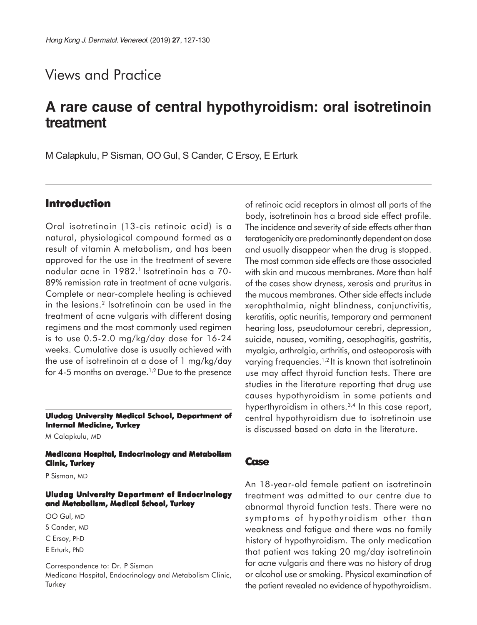# Views and Practice

# **A rare cause of central hypothyroidism: oral isotretinoin treatment**

M Calapkulu, P Sisman, OO Gul, S Cander, C Ersoy, E Erturk

### **Introduction**

Oral isotretinoin (13-cis retinoic acid) is a natural, physiological compound formed as a result of vitamin A metabolism, and has been approved for the use in the treatment of severe nodular acne in 1982.<sup>1</sup> Isotretinoin has a 70-89% remission rate in treatment of acne vulgaris. Complete or near-complete healing is achieved in the lesions.<sup>2</sup> Isotretinoin can be used in the treatment of acne vulgaris with different dosing regimens and the most commonly used regimen is to use 0.5-2.0 mg/kg/day dose for 16-24 weeks. Cumulative dose is usually achieved with the use of isotretinoin at a dose of 1 mg/kg/day for 4-5 months on average.<sup>1,2</sup> Due to the presence

#### **Uludag University Medical School, Department of Internal Medicine, Turkey**

M Calapkulu, MD

**Medicana Hospital, Endocrinology and Metabolism Clinic, Turkey**

P Sisman, MD

#### **Uludag University Department of Endocrinology and Metabolism, Medical School, Turkey**

OO Gul, MD

S Cander, MD

C Ersoy, PhD

E Erturk, PhD

Correspondence to: Dr. P Sisman Medicana Hospital, Endocrinology and Metabolism Clinic, Turkey

of retinoic acid receptors in almost all parts of the body, isotretinoin has a broad side effect profile. The incidence and severity of side effects other than teratogenicity are predominantly dependent on dose and usually disappear when the drug is stopped. The most common side effects are those associated with skin and mucous membranes. More than half of the cases show dryness, xerosis and pruritus in the mucous membranes. Other side effects include xerophthalmia, night blindness, conjunctivitis, keratitis, optic neuritis, temporary and permanent hearing loss, pseudotumour cerebri, depression, suicide, nausea, vomiting, oesophagitis, gastritis, myalgia, arthralgia, arthritis, and osteoporosis with varying frequencies.<sup>1,2</sup> It is known that isotretinoin use may affect thyroid function tests. There are studies in the literature reporting that drug use causes hypothyroidism in some patients and hyperthyroidism in others.3,4 In this case report, central hypothyroidism due to isotretinoin use is discussed based on data in the literature.

### **Case**

An 18-year-old female patient on isotretinoin treatment was admitted to our centre due to abnormal thyroid function tests. There were no symptoms of hypothyroidism other than weakness and fatigue and there was no family history of hypothyroidism. The only medication that patient was taking 20 mg/day isotretinoin for acne vulgaris and there was no history of drug or alcohol use or smoking. Physical examination of the patient revealed no evidence of hypothyroidism.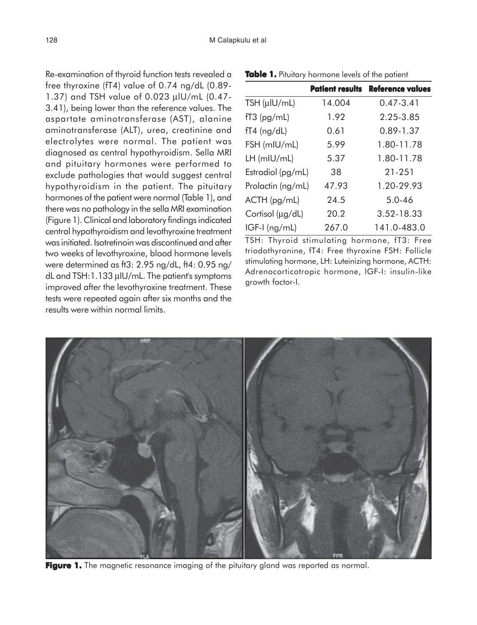Re-examination of thyroid function tests revealed a free thyroxine (fT4) value of 0.74 ng/dL (0.89- 1.37) and TSH value of 0.023 µlU/mL (0.47- 3.41), being lower than the reference values. The aspartate aminotransferase (AST), alanine aminotransferase (ALT), urea, creatinine and electrolytes were normal. The patient was diagnosed as central hypothyroidism. Sella MRI and pituitary hormones were performed to exclude pathologies that would suggest central hypothyroidism in the patient. The pituitary hormones of the patient were normal (Table 1), and there was no pathology in the sella MRI examination (Figure 1). Clinical and laboratory findings indicated central hypothyroidism and levothyroxine treatment was initiated. Isotretinoin was discontinued and after two weeks of levothyroxine, blood hormone levels were determined as ft3: 2.95 ng/dL, ft4: 0.95 ng/ dL and TSH:1.133 µIU/mL. The patient's symptoms improved after the levothyroxine treatment. These tests were repeated again after six months and the results were within normal limits.

|                   |        | <b>Patient results Reference values</b> |
|-------------------|--------|-----------------------------------------|
| TSH $(\mu$ IU/mL) | 14.004 | $0.47 - 3.41$                           |
| $fT3$ (pg/mL)     | 1.92   | 2.25-3.85                               |
| $fT4$ (ng/dL)     | 0.61   | 0.89-1.37                               |
| FSH (mIU/mL)      | 5.99   | 1.80-11.78                              |
| $LH$ (mIU/mL)     | 5.37   | 1.80-11.78                              |
| Estradiol (pg/mL) | 38     | 21-251                                  |
| Prolactin (ng/mL) | 47.93  | 1.20-29.93                              |
| $ACTH$ (pg/mL)    | 24.5   | $5.0 - 46$                              |
| Cortisol (µg/dL)  | 20.2   | 3.52-18.33                              |
| $IGF-I$ (ng/mL)   | 267.0  | 141.0-483.0                             |

TSH: Thyroid stimulating hormone, fT3: Free triodothyronine, fT4: Free thyroxine FSH: Follicle stimulating hormone, LH: Luteinizing hormone, ACTH: Adrenocorticotropic hormone, IGF-I: insulin-like growth factor-I.



Figure 1. The magnetic resonance imaging of the pituitary gland was reported as normal.

#### **Table 1.** Pituitary hormone levels of the patient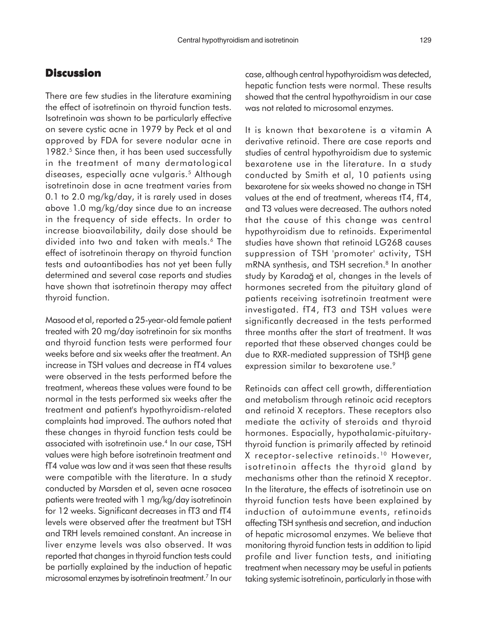## **Discussion**

There are few studies in the literature examining the effect of isotretinoin on thyroid function tests. Isotretinoin was shown to be particularly effective on severe cystic acne in 1979 by Peck et al and approved by FDA for severe nodular acne in 1982.<sup>5</sup> Since then, it has been used successfully in the treatment of many dermatological diseases, especially acne vulgaris.<sup>5</sup> Although isotretinoin dose in acne treatment varies from 0.1 to 2.0 mg/kg/day, it is rarely used in doses above 1.0 mg/kg/day since due to an increase in the frequency of side effects. In order to increase bioavailability, daily dose should be divided into two and taken with meals.<sup>6</sup> The effect of isotretinoin therapy on thyroid function tests and autoantibodies has not yet been fully determined and several case reports and studies have shown that isotretinoin therapy may affect thyroid function.

Masood et al, reported a 25-year-old female patient treated with 20 mg/day isotretinoin for six months and thyroid function tests were performed four weeks before and six weeks after the treatment. An increase in TSH values and decrease in fT4 values were observed in the tests performed before the treatment, whereas these values were found to be normal in the tests performed six weeks after the treatment and patient's hypothyroidism-related complaints had improved. The authors noted that these changes in thyroid function tests could be associated with isotretinoin use.4 In our case, TSH values were high before isotretinoin treatment and fT4 value was low and it was seen that these results were compatible with the literature. In a study conducted by Marsden et al, seven acne rosacea patients were treated with 1 mg/kg/day isotretinoin for 12 weeks. Significant decreases in fT3 and fT4 levels were observed after the treatment but TSH and TRH levels remained constant. An increase in liver enzyme levels was also observed. It was reported that changes in thyroid function tests could be partially explained by the induction of hepatic microsomal enzymes by isotretinoin treatment.7 In our

case, although central hypothyroidism was detected, hepatic function tests were normal. These results showed that the central hypothyroidism in our case was not related to microsomal enzymes.

It is known that bexarotene is a vitamin A derivative retinoid. There are case reports and studies of central hypothyroidism due to systemic bexarotene use in the literature. In a study conducted by Smith et al, 10 patients using bexarotene for six weeks showed no change in TSH values at the end of treatment, whereas tT4, fT4, and T3 values were decreased. The authors noted that the cause of this change was central hypothyroidism due to retinoids. Experimental studies have shown that retinoid LG268 causes suppression of TSH 'promoter' activity, TSH mRNA synthesis, and TSH secretion.<sup>8</sup> In another study by Karadağ et al, changes in the levels of hormones secreted from the pituitary gland of patients receiving isotretinoin treatment were investigated. fT4, fT3 and TSH values were significantly decreased in the tests performed three months after the start of treatment. It was reported that these observed changes could be due to RXR-mediated suppression of TSHβ gene expression similar to bexarotene use.<sup>9</sup>

Retinoids can affect cell growth, differentiation and metabolism through retinoic acid receptors and retinoid X receptors. These receptors also mediate the activity of steroids and thyroid hormones. Espacially, hypothalamic-pituitarythyroid function is primarily affected by retinoid X receptor-selective retinoids.10 However, isotretinoin affects the thyroid gland by mechanisms other than the retinoid X receptor. In the literature, the effects of isotretinoin use on thyroid function tests have been explained by induction of autoimmune events, retinoids affecting TSH synthesis and secretion, and induction of hepatic microsomal enzymes. We believe that monitoring thyroid function tests in addition to lipid profile and liver function tests, and initiating treatment when necessary may be useful in patients taking systemic isotretinoin, particularly in those with